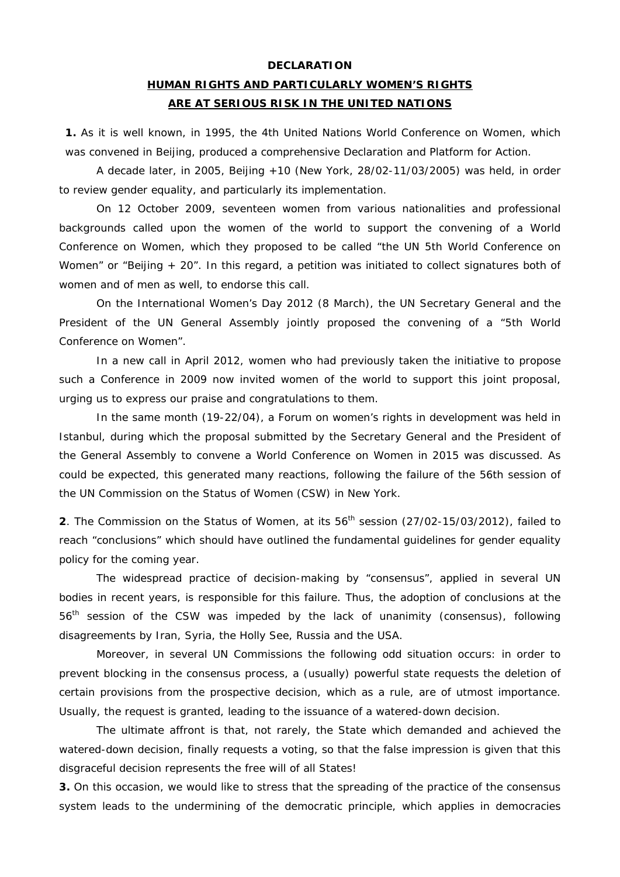#### **DECLARATION**

# **HUMAN RIGHTS AND PARTICULARLY WOMEN'S RIGHTS ARE AT SERIOUS RISK IN THE UNITED NATIONS**

**1.** As it is well known, in 1995, the 4th United Nations World Conference on Women, which was convened in Beijing, produced a comprehensive *Declaration and Platform for Action*.

A decade later, in 2005, Beijing +10 (New York, 28/02-11/03/2005) was held, in order to review gender equality, and particularly its implementation.

 On 12 October 2009, seventeen women from various nationalities and professional backgrounds called upon the women of the world to support the convening of a World Conference on Women, which they proposed to be called "the UN 5th World Conference on Women" or "Beijing + 20". In this regard, a petition was initiated to collect signatures both of women and of men as well, to endorse this call.

 On the International Women's Day 2012 (8 March), the UN Secretary General and the President of the UN General Assembly jointly proposed the convening of a "5th World Conference on Women".

 In a new call in April 2012, women who had previously taken the initiative to propose such a Conference in 2009 now invited women of the world to support this joint proposal, urging us to express our praise and congratulations to them.

 In the same month (19-22/04), a Forum on women's rights in development was held in Istanbul, during which the proposal submitted by the Secretary General and the President of the General Assembly to convene a World Conference on Women in 2015 was discussed. As could be expected, this generated many reactions, following the failure of the *56th session of the UN Commission on the Status of Women* (CSW) in New York.

**2**. The Commission on the Status of Women, at its 56<sup>th</sup> session (27/02-15/03/2012), failed to reach "*conclusions*" which should have outlined the fundamental guidelines for gender equality policy for the coming year.

The widespread practice of decision-making by "consensus", applied in several UN bodies in recent years, is responsible for this failure. Thus, the adoption of *conclusions* at the 56th session of the CSW was impeded by the lack of unanimity (consensus), following disagreements by Iran, Syria, the Holly See, Russia and the USA.

 Moreover, in several UN Commissions the following odd situation occurs: in order to prevent blocking in the consensus process, a (usually) powerful state requests the deletion of certain provisions from the prospective decision, which as a rule, are of utmost importance. Usually, the request is granted, leading to the issuance of a watered-down decision.

 The ultimate affront is that, not rarely, the State which demanded and achieved the watered-down decision, finally requests a voting, so that the false impression is given that this disgraceful decision represents the free will of all States!

**3.** On this occasion, we would like to stress that the spreading of the practice of the consensus system leads to the undermining of the democratic principle, which applies in democracies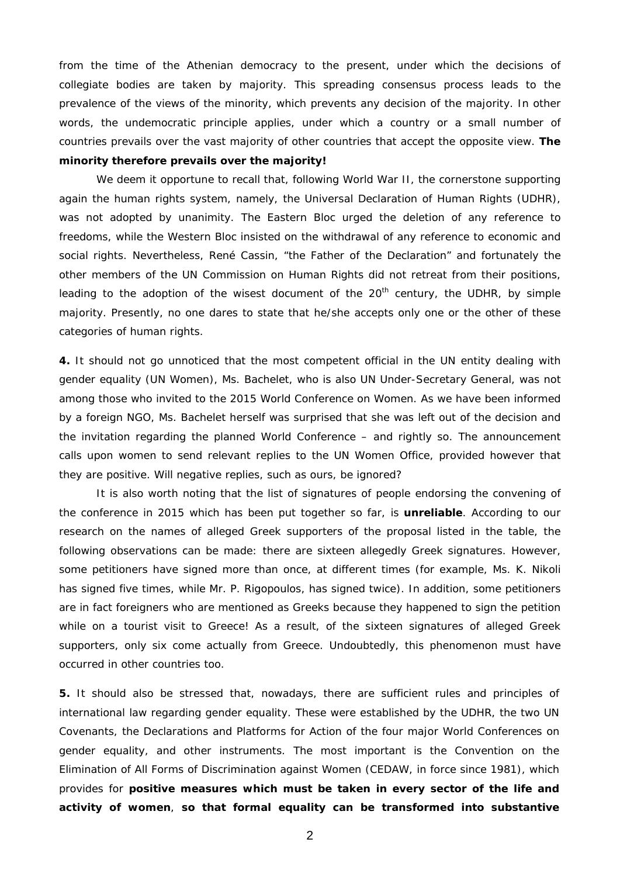from the time of the Athenian democracy to the present, under which the decisions of collegiate bodies are taken by majority. This spreading consensus process leads to the prevalence of the views of the minority, which prevents any decision of the majority. In other words, the undemocratic principle applies, under which a country or a small number of countries prevails over the vast majority of other countries that accept the opposite view. **The** 

## **minority therefore prevails over the majority!**

We deem it opportune to recall that, following World War II, the cornerstone supporting again the human rights system, namely, the *Universal Declaration of Human Rights (UDHR)*, was not adopted by unanimity. The Eastern Bloc urged the deletion of any reference to freedoms, while the Western Bloc insisted on the withdrawal of any reference to economic and social rights. Nevertheless, René Cassin, "the Father of the Declaration" and fortunately the other members of the UN Commission on Human Rights did not retreat from their positions, leading to the adoption of the wisest document of the 20<sup>th</sup> century, the *UDHR*, by simple majority. Presently, no one dares to state that he/she accepts only one or the other of these categories of human rights.

**4.** It should not go unnoticed that the most competent official in the UN entity dealing with gender equality (*UN Women*), Ms. Bachelet, who is also UN Under-Secretary General, was not among those who invited to the 2015 World Conference on Women. As we have been informed by a foreign NGO, Ms. Bachelet herself was surprised that she was left out of the decision and the invitation regarding the planned World Conference – and rightly so. The announcement calls upon women to send relevant replies to the *UN Women* Office, provided however that they are positive. Will negative replies, such as ours, be ignored?

 It is also worth noting that the list of signatures of people endorsing the convening of the conference in 2015 which has been put together so far, is **unreliable**. According to our research on the names of alleged Greek supporters of the proposal listed in the table, the following observations can be made: there are sixteen allegedly Greek signatures. However, some petitioners have signed more than once, at different times (for example, Ms. K. Nikoli has signed five times, while Mr. P. Rigopoulos, has signed twice). In addition, some petitioners are in fact foreigners who are mentioned as Greeks because they happened to sign the petition while on a tourist visit to Greece! As a result, of the sixteen signatures of alleged Greek supporters, only six come actually from Greece. Undoubtedly, this phenomenon must have occurred in other countries too.

**5.** It should also be stressed that, nowadays, there are sufficient rules and principles of international law regarding gender equality. These were established by the *UDHR*, the two UN *Covenants*, the *Declarations and Platforms for Action* of the four major World Conferences on gender equality, and other instruments. The most important is the Convention on the Elimination of All Forms of Discrimination against Women (*CEDAW*, in force since 1981), which provides for **positive measures which must be taken in every sector of the life and activity of women**, **so that formal equality can be transformed into substantive** 

2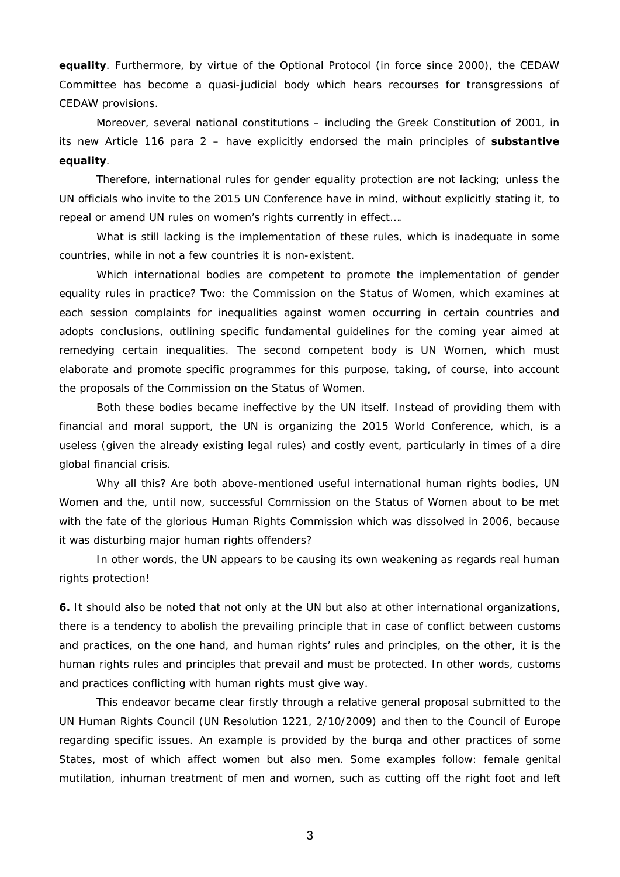**equality**. Furthermore, by virtue of the *Optional Protocol* (in force since 2000), the CEDAW Committee has become a quasi-judicial body which hears recourses for transgressions of CEDAW provisions.

Moreover, several national constitutions – including the Greek Constitution of 2001, in its new Article 116 para 2 – have explicitly endorsed the main principles of **substantive equality**.

Therefore, international rules for gender equality protection are not lacking; unless the UN officials who invite to the 2015 UN Conference have in mind, without explicitly stating it, to repeal or amend UN rules on women's rights currently in effect….

What is still lacking is the implementation of these rules, which is inadequate in some countries, while in not a few countries it is non-existent.

Which international bodies are competent to promote the implementation of gender equality rules in practice? Two: the *Commission on the Status of Women*, which examines at each session complaints for inequalities against women occurring in certain countries and adopts conclusions, outlining specific fundamental guidelines for the coming year aimed at remedying certain inequalities. The second competent body is *UN Women*, which must elaborate and promote specific programmes for this purpose, taking, of course, into account the proposals of the *Commission on the Status of Women*.

 Both these bodies became ineffective by the UN itself. Instead of providing them with financial and moral support, the UN is organizing the 2015 World Conference, which, is a useless (given the already existing legal rules) and costly event, particularly in times of a dire global financial crisis.

Why all this? Are both above-mentioned useful international human rights bodies, *UN Women* and the, until now, successful *Commission on the Status of Women* about to be met with the fate of the glorious Human Rights Commission which was dissolved in 2006, because it was disturbing major human rights offenders?

In other words, the UN appears to be causing its own weakening as regards real human rights protection!

**6.** It should also be noted that not only at the UN but also at other international organizations, there is a tendency to abolish the prevailing principle that in case of conflict between customs and practices, on the one hand, and human rights' rules and principles, on the other, it is the human rights rules and principles that prevail and must be protected. In other words, customs and practices conflicting with human rights must give way.

 This endeavor became clear firstly through a relative general proposal submitted to the UN Human Rights Council (UN Resolution 1221, 2/10/2009) and then to the Council of Europe regarding specific issues. An example is provided by the burqa and other practices of some States, most of which affect women but also men. Some examples follow: female genital mutilation, inhuman treatment of men and women, such as cutting off the right foot and left

3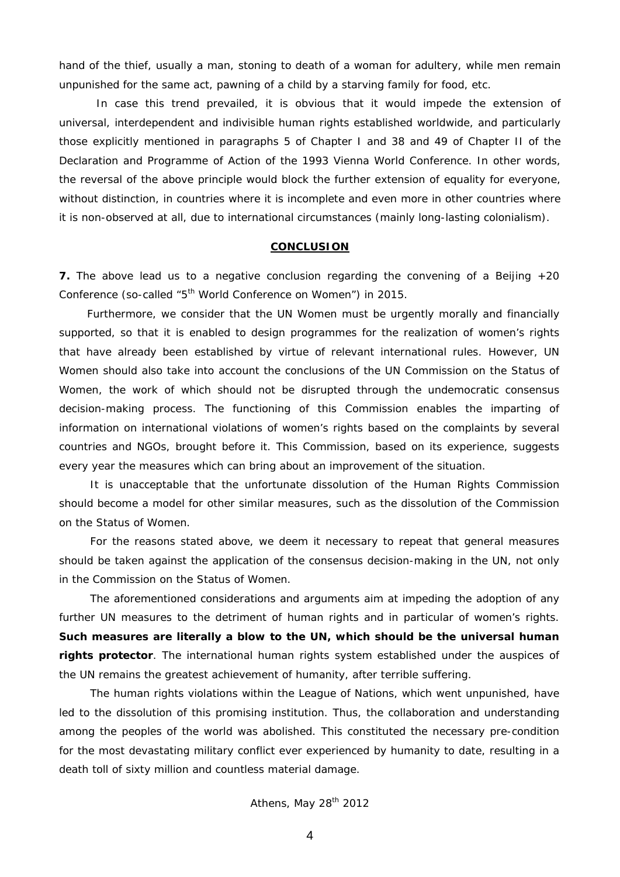hand of the thief, usually a man, stoning to death of a woman for adultery, while men remain unpunished for the same act, pawning of a child by a starving family for food, etc.

 In case this trend prevailed, it is obvious that it would impede the extension of universal, interdependent and indivisible human rights established worldwide, and particularly those explicitly mentioned in paragraphs 5 of Chapter I and 38 and 49 of Chapter II of the *Declaration and Programme of Action of the 1993 Vienna World Conference*. In other words, the reversal of the above principle would block the further extension of equality for everyone, without distinction, in countries where it is incomplete and even more in other countries where it is non-observed at all, due to international circumstances (mainly long-lasting colonialism).

#### **CONCLUSION**

**7.** The above lead us to a negative conclusion regarding the convening of a *Beijing +20 Conference* (so-called *"5th World Conference on Women"*) in 2015.

Furthermore, we consider that the *UN Women* must be urgently morally and financially supported, so that it is enabled to design programmes for the realization of women's rights that have already been established by virtue of relevant international rules. However, *UN Women* should also take into account the *conclusions* of the *UN Commission on the Status of Women*, the work of which should not be disrupted through the undemocratic *consensus* decision-making process. The functioning of this Commission enables the imparting of information on international violations of women's rights based on the complaints by several countries and NGOs, brought before it. This Commission, based on its experience, suggests every year the measures which can bring about an improvement of the situation.

It is unacceptable that the unfortunate dissolution of the *Human Rights Commission* should become a model for other similar measures, such as the dissolution of the *Commission on the Status of Women*.

For the reasons stated above, we deem it necessary to repeat that general measures should be taken against the application of the *consensus* decision-making in the UN, not only in the *Commission on the Status of Women.* 

The aforementioned considerations and arguments aim at impeding the adoption of any further UN measures to the detriment of human rights and in particular of women's rights. **Such measures are literally a blow to the UN, which should be the universal human rights protector**. The international human rights system established under the auspices of the UN remains the greatest achievement of humanity, after terrible suffering.

The human rights violations within the League of Nations, which went unpunished, have led to the dissolution of this promising institution. Thus, the collaboration and understanding among the peoples of the world was abolished. This constituted the necessary pre-condition for the most devastating military conflict ever experienced by humanity to date, resulting in a death toll of sixty million and countless material damage.

Athens, May 28<sup>th</sup> 2012